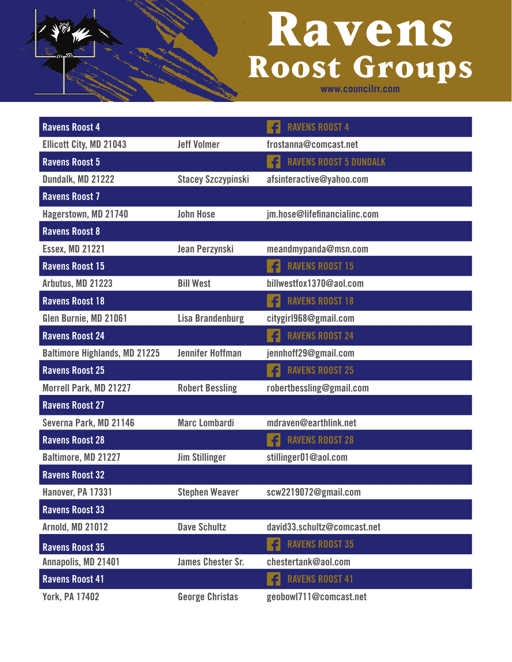| <b>Ravens Roost 4</b>                |                           | <b>RAVENS ROOST 4</b>              |
|--------------------------------------|---------------------------|------------------------------------|
| <b>Ellicott City, MD 21043</b>       | <b>Jeff Volmer</b>        | frostanna@comcast.net              |
| <b>Ravens Roost 5</b>                |                           | <b>RAVENS ROOST 5 DUNDALK</b><br>f |
| Dundalk, MD 21222                    | <b>Stacey Szczypinski</b> | afsinteractive@yahoo.com           |
| <b>Ravens Roost 7</b>                |                           |                                    |
| Hagerstown, MD 21740                 | <b>John Hose</b>          | jm.hose@lifefinancialinc.com       |
| <b>Ravens Roost 8</b>                |                           |                                    |
| <b>Essex, MD 21221</b>               | Jean Perzynski            | meandmypanda@msn.com               |
| <b>Ravens Roost 15</b>               |                           | <b>RAVENS ROOST 15</b>             |
| Arbutus, MD 21223                    | <b>Bill West</b>          | billwestfox1370@aol.com            |
| <b>Ravens Roost 18</b>               |                           | <b>RAVENS ROOST 18</b><br>fl       |
| Glen Burnie, MD 21061                | <b>Lisa Brandenburg</b>   | citygirl968@gmail.com              |
| <b>Ravens Roost 24</b>               |                           | <b>RAVENS ROOST 24</b>             |
| <b>Baltimore Highlands, MD 21225</b> | <b>Jennifer Hoffman</b>   | jennhoff29@gmail.com               |
| <b>Ravens Roost 25</b>               |                           | <b>RAVENS ROOST 25</b><br>£        |
| <b>Morrell Park, MD 21227</b>        | <b>Robert Bessling</b>    | robertbessling@gmail.com           |
| <b>Ravens Roost 27</b>               |                           |                                    |
| Severna Park, MD 21146               | <b>Marc Lombardi</b>      | mdraven@earthlink.net              |
| <b>Ravens Roost 28</b>               |                           | <b>RAVENS ROOST 28</b><br>£        |
| Baltimore, MD 21227                  | <b>Jim Stillinger</b>     | stillinger01@aol.com               |
| <b>Ravens Roost 32</b>               |                           |                                    |
| Hanover, PA 17331                    | <b>Stephen Weaver</b>     | scw2219072@gmail.com               |
| <b>Ravens Roost 33</b>               |                           |                                    |
| <b>Arnold, MD 21012</b>              | <b>Dave Schultz</b>       | david33.schultz@comcast.net        |
| <b>Ravens Roost 35</b>               |                           | <b>RAVENS ROOST 35</b><br>fl       |
| Annapolis, MD 21401                  | <b>James Chester Sr.</b>  | chestertank@aol.com                |
| <b>Ravens Roost 41</b>               |                           | <b>RAVENS ROOST 41</b><br>f        |
| <b>York, PA 17402</b>                | <b>George Christas</b>    | geobowl711@comcast.net             |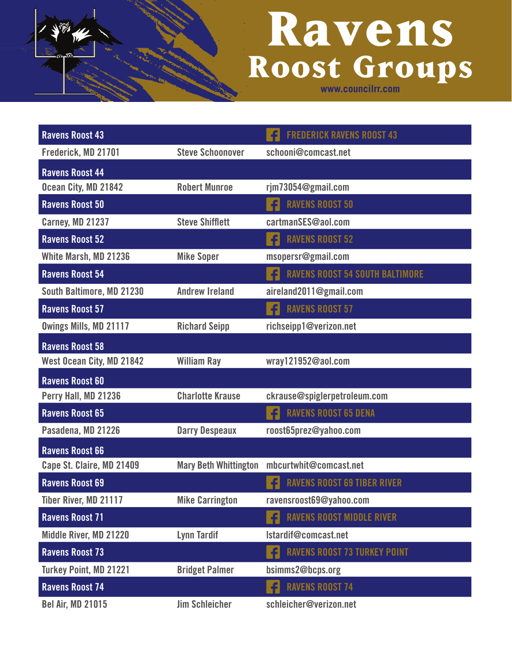| <b>Ravens Roost 43</b>        |                              | <b>FREDERICK RAVENS ROOST 43</b>          |
|-------------------------------|------------------------------|-------------------------------------------|
| Frederick, MD 21701           | <b>Steve Schoonover</b>      | schooni@comcast.net                       |
| <b>Ravens Roost 44</b>        |                              |                                           |
| Ocean City, MD 21842          | <b>Robert Munroe</b>         | rjm73054@gmail.com                        |
| <b>Ravens Roost 50</b>        |                              | <b>RAVENS ROOST 50</b>                    |
| <b>Carney, MD 21237</b>       | <b>Steve Shifflett</b>       | cartmanSES@aol.com                        |
| <b>Ravens Roost 52</b>        |                              | <b>RAVENS ROOST 52</b><br>f               |
| White Marsh, MD 21236         | <b>Mike Soper</b>            | msopersr@gmail.com                        |
| <b>Ravens Roost 54</b>        |                              | <b>RAVENS ROOST 54 SOUTH BALTIMORE</b>    |
| South Baltimore, MD 21230     | <b>Andrew Ireland</b>        | aireland2011@gmail.com                    |
| <b>Ravens Roost 57</b>        |                              | <b>RAVENS ROOST 57</b><br>fl              |
| Owings Mills, MD 21117        | <b>Richard Seipp</b>         | richseipp1@verizon.net                    |
| <b>Ravens Roost 58</b>        |                              |                                           |
| West Ocean City, MD 21842     | <b>William Ray</b>           | wray121952@aol.com                        |
| <b>Ravens Roost 60</b>        |                              |                                           |
| Perry Hall, MD 21236          | <b>Charlotte Krause</b>      | ckrause@spiglerpetroleum.com              |
| <b>Ravens Roost 65</b>        |                              | <b>RAVENS ROOST 65 DENA</b><br>£          |
| Pasadena, MD 21226            | <b>Darry Despeaux</b>        | roost65prez@yahoo.com                     |
| <b>Ravens Roost 66</b>        |                              |                                           |
| Cape St. Claire, MD 21409     | <b>Mary Beth Whittington</b> | mbcurtwhit@comcast.net                    |
| <b>Ravens Roost 69</b>        |                              | <b>RAVENS ROOST 69 TIBER RIVER</b>        |
| <b>Tiber River, MD 21117</b>  | <b>Mike Carrington</b>       | ravensroost69@yahoo.com                   |
| <b>Ravens Roost 71</b>        |                              | <b>RAVENS ROOST MIDDLE RIVER</b><br>f     |
| Middle River, MD 21220        | <b>Lynn Tardif</b>           | Istardif@comcast.net                      |
| <b>Ravens Roost 73</b>        |                              | <b>RAVENS ROOST 73 TURKEY POINT</b><br>fl |
| <b>Turkey Point, MD 21221</b> | <b>Bridget Palmer</b>        | bsimms2@bcps.org                          |
| <b>Ravens Roost 74</b>        |                              | f<br><b>RAVENS ROOST 74</b>               |
| <b>Bel Air, MD 21015</b>      | <b>Jim Schleicher</b>        | schleicher@verizon.net                    |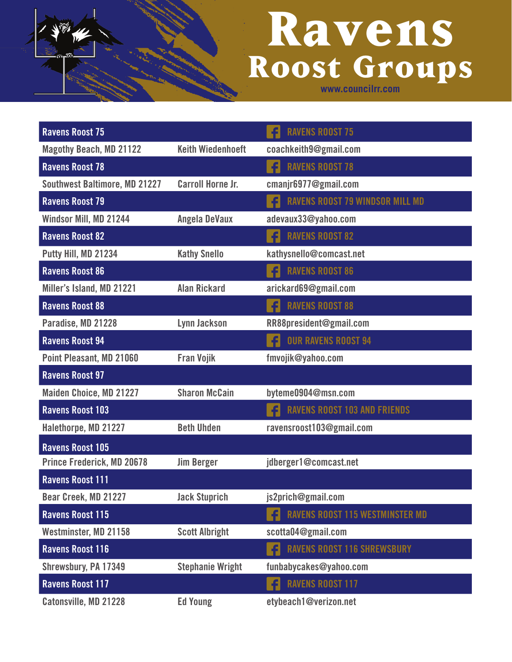| <b>Ravens Roost 75</b>               |                          | <b>RAVENS ROOST 75</b>                      |
|--------------------------------------|--------------------------|---------------------------------------------|
| <b>Magothy Beach, MD 21122</b>       | <b>Keith Wiedenhoeft</b> | coachkeith9@gmail.com                       |
| <b>Ravens Roost 78</b>               |                          | <b>RAVENS ROOST 78</b><br>fl                |
| <b>Southwest Baltimore, MD 21227</b> | <b>Carroll Horne Jr.</b> | cmanjr6977@gmail.com                        |
| <b>Ravens Roost 79</b>               |                          | <b>RAVENS ROOST 79 WINDSOR MILL MD</b>      |
| Windsor Mill, MD 21244               | <b>Angela DeVaux</b>     | adevaux33@yahoo.com                         |
| <b>Ravens Roost 82</b>               |                          | <b>RAVENS ROOST 82</b><br>f                 |
| Putty Hill, MD 21234                 | <b>Kathy Snello</b>      | kathysnello@comcast.net                     |
| <b>Ravens Roost 86</b>               |                          | <b>RAVENS ROOST 86</b><br>£                 |
| Miller's Island, MD 21221            | <b>Alan Rickard</b>      | arickard69@gmail.com                        |
| <b>Ravens Roost 88</b>               |                          | <b>RAVENS ROOST 88</b><br>f                 |
| Paradise, MD 21228                   | <b>Lynn Jackson</b>      | RR88president@gmail.com                     |
| <b>Ravens Roost 94</b>               |                          | <b>OUR RAVENS ROOST 94</b><br>f             |
| Point Pleasant, MD 21060             | <b>Fran Vojik</b>        | fmvojik@yahoo.com                           |
| <b>Ravens Roost 97</b>               |                          |                                             |
| <b>Maiden Choice, MD 21227</b>       | <b>Sharon McCain</b>     | byteme0904@msn.com                          |
| <b>Ravens Roost 103</b>              |                          | <b>RAVENS ROOST 103 AND FRIENDS</b>         |
| Halethorpe, MD 21227                 | <b>Beth Uhden</b>        | ravensroost103@gmail.com                    |
| <b>Ravens Roost 105</b>              |                          |                                             |
| <b>Prince Frederick, MD 20678</b>    | <b>Jim Berger</b>        | jdberger1@comcast.net                       |
| <b>Ravens Roost 111</b>              |                          |                                             |
| Bear Creek, MD 21227                 | <b>Jack Stuprich</b>     | js2prich@gmail.com                          |
| <b>Ravens Roost 115</b>              |                          | f<br><b>RAVENS ROOST 115 WESTMINSTER MD</b> |
| Westminster, MD 21158                | <b>Scott Albright</b>    | scotta04@gmail.com                          |
| <b>Ravens Roost 116</b>              |                          | <b>RAVENS ROOST 116 SHREWSBURY</b><br>fl    |
| Shrewsbury, PA 17349                 | <b>Stephanie Wright</b>  | funbabycakes@yahoo.com                      |
| <b>Ravens Roost 117</b>              |                          | <b>RAVENS ROOST 117</b><br>fl               |
| Catonsville, MD 21228                | <b>Ed Young</b>          | etybeach1@verizon.net                       |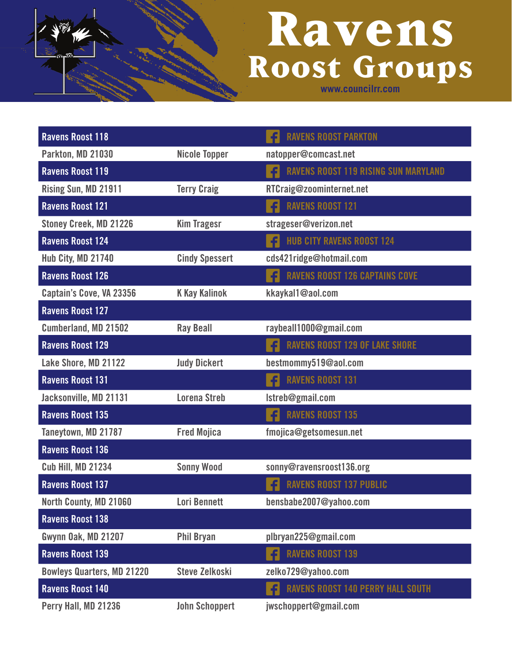| <b>Ravens Roost 118</b>           |                       | <b>RAVENS ROOST PARKTON</b>                       |
|-----------------------------------|-----------------------|---------------------------------------------------|
| Parkton, MD 21030                 | <b>Nicole Topper</b>  | natopper@comcast.net                              |
| <b>Ravens Roost 119</b>           |                       | <b>RAVENS ROOST 119 RISING SUN MARYLAND</b><br>£l |
| Rising Sun, MD 21911              | <b>Terry Craig</b>    | RTCraig@zoominternet.net                          |
| <b>Ravens Roost 121</b>           |                       | <b>RAVENS ROOST 121</b><br>£                      |
| <b>Stoney Creek, MD 21226</b>     | <b>Kim Tragesr</b>    | strageser@verizon.net                             |
| <b>Ravens Roost 124</b>           |                       | <b>HUB CITY RAVENS ROOST 124</b><br>£             |
| Hub City, MD 21740                | <b>Cindy Spessert</b> | cds421ridge@hotmail.com                           |
| <b>Ravens Roost 126</b>           |                       | <b>RAVENS ROOST 126 CAPTAINS COVE</b><br>£        |
| Captain's Cove, VA 23356          | <b>K Kay Kalinok</b>  | kkaykal1@aol.com                                  |
| <b>Ravens Roost 127</b>           |                       |                                                   |
| Cumberland, MD 21502              | <b>Ray Beall</b>      | raybeall1000@gmail.com                            |
| <b>Ravens Roost 129</b>           |                       | 4<br><b>RAVENS ROOST 129 OF LAKE SHORE</b>        |
| Lake Shore, MD 21122              | <b>Judy Dickert</b>   | bestmommy519@aol.com                              |
| <b>Ravens Roost 131</b>           |                       | <b>RAVENS ROOST 131</b><br>Æ                      |
| Jacksonville, MD 21131            | <b>Lorena Streb</b>   | Istreb@gmail.com                                  |
| <b>Ravens Roost 135</b>           |                       | <b>RAVENS ROOST 135</b><br>f.                     |
| Taneytown, MD 21787               | <b>Fred Mojica</b>    | fmojica@getsomesun.net                            |
| <b>Ravens Roost 136</b>           |                       |                                                   |
| <b>Cub Hill, MD 21234</b>         | <b>Sonny Wood</b>     | sonny@ravensroost136.org                          |
| <b>Ravens Roost 137</b>           |                       | <b>RAVENS ROOST 137 PUBLIC</b><br>£               |
| North County, MD 21060            | <b>Lori Bennett</b>   | bensbabe2007@yahoo.com                            |
| <b>Ravens Roost 138</b>           |                       |                                                   |
| Gwynn Oak, MD 21207               | <b>Phil Bryan</b>     | plbryan225@gmail.com                              |
| <b>Ravens Roost 139</b>           |                       | <b>RAVENS ROOST 139</b><br>f.                     |
| <b>Bowleys Quarters, MD 21220</b> | <b>Steve Zelkoski</b> | zelko729@yahoo.com                                |
| <b>Ravens Roost 140</b>           |                       | <b>RAVENS ROOST 140 PERRY HALL SOUTH</b><br>fl    |
| Perry Hall, MD 21236              | <b>John Schoppert</b> | jwschoppert@gmail.com                             |